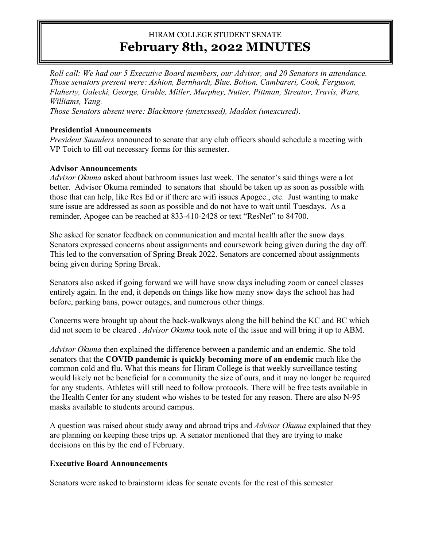# HIRAM COLLEGE STUDENT SENATE **February 8th, 2022 MINUTES**

*Roll call: We had our 5 Executive Board members, our Advisor, and 20 Senators in attendance. Those senators present were: Ashton, Bernhardt, Blue, Bolton, Cambareri, Cook, Ferguson, Flaherty, Galecki, George, Grable, Miller, Murphey, Nutter, Pittman, Streator, Travis, Ware, Williams, Yang.*

*Those Senators absent were: Blackmore (unexcused), Maddox (unexcused).*

### **Presidential Announcements**

*President Saunders* announced to senate that any club officers should schedule a meeting with VP Toich to fill out necessary forms for this semester.

### **Advisor Announcements**

*Advisor Okuma* asked about bathroom issues last week. The senator's said things were a lot better. Advisor Okuma reminded to senators that should be taken up as soon as possible with those that can help, like Res Ed or if there are wifi issues Apogee., etc. Just wanting to make sure issue are addressed as soon as possible and do not have to wait until Tuesdays. As a reminder, Apogee can be reached at 833-410-2428 or text "ResNet" to 84700.

She asked for senator feedback on communication and mental health after the snow days. Senators expressed concerns about assignments and coursework being given during the day off. This led to the conversation of Spring Break 2022. Senators are concerned about assignments being given during Spring Break.

Senators also asked if going forward we will have snow days including zoom or cancel classes entirely again. In the end, it depends on things like how many snow days the school has had before, parking bans, power outages, and numerous other things.

Concerns were brought up about the back-walkways along the hill behind the KC and BC which did not seem to be cleared . *Advisor Okuma* took note of the issue and will bring it up to ABM.

*Advisor Okuma* then explained the difference between a pandemic and an endemic. She told senators that the **COVID pandemic is quickly becoming more of an endemic** much like the common cold and flu. What this means for Hiram College is that weekly surveillance testing would likely not be beneficial for a community the size of ours, and it may no longer be required for any students. Athletes will still need to follow protocols. There will be free tests available in the Health Center for any student who wishes to be tested for any reason. There are also N-95 masks available to students around campus.

A question was raised about study away and abroad trips and *Advisor Okuma* explained that they are planning on keeping these trips up. A senator mentioned that they are trying to make decisions on this by the end of February.

## **Executive Board Announcements**

Senators were asked to brainstorm ideas for senate events for the rest of this semester